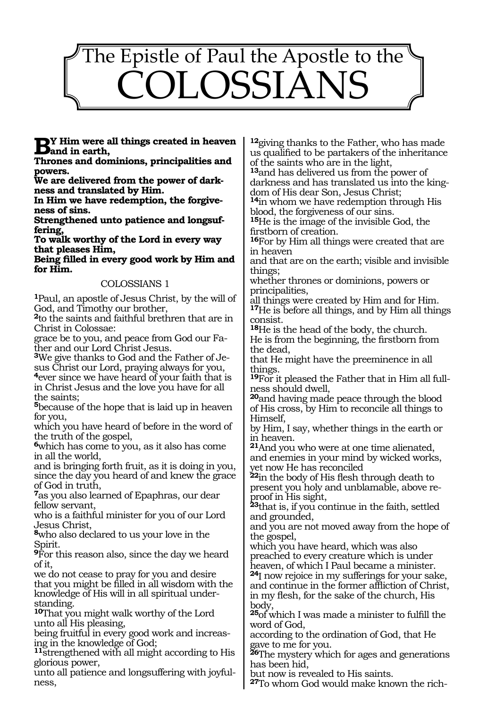

**By** Him were all things created in heaven<br> **Band in earth,**<br> **Theoree and dominions principalities and** 

**Thrones and dominions, principalities and powers.**

**We are delivered from the power of darkness and translated by Him.**

**In Him we have redemption, the forgiveness of sins.**

**Strengthened unto patience and longsuffering,**

**To walk worthy of the Lord in every way that pleases Him,**

**Being filled in every good work by Him and for Him.**

#### COLOSSIANS 1

**<sup>1</sup>**Paul, an apostle of Jesus Christ, by the will of God, and Timothy our brother,

**<sup>2</sup>**to the saints and faithful brethren that are in Christ in Colossae:

grace be to you, and peace from God our Father and our Lord Christ Jesus.

**3**We give thanks to God and the Father of Jesus Christ our Lord, praying always for you, **<sup>4</sup>**ever since we have heard of your faith that is in Christ Jesus and the love you have for all

the saints; **<sup>5</sup>**because of the hope that is laid up in heaven for you,

which you have heard of before in the word of the truth of the gospel,

**<sup>6</sup>**which has come to you, as it also has come in all the world,

and is bringing forth fruit, as it is doing in you, since the day you heard of and knew the grace of God in truth,

**<sup>7</sup>**as you also learned of Epaphras, our dear fellow servant,

who is a faithful minister for you of our Lord Jesus Christ,

**<sup>8</sup>**who also declared to us your love in the Spirit.

**<sup>9</sup>**For this reason also, since the day we heard of it,

we do not cease to pray for you and desire that you might be filled in all wisdom with the knowledge of His will in all spiritual under- standing.

**<sup>10</sup>**That you might walk worthy of the Lord unto all His pleasing,

being fruitful in every good work and increasing in the knowledge of God;

**<sup>11</sup>**strengthened with all might according to His glorious power,

unto all patience and longsuffering with joyful- ness,

**<sup>12</sup>**giving thanks to the Father, who has made us qualified to be partakers of the inheritance of the saints who are in the light,

**<sup>13</sup>**and has delivered us from the power of darkness and has translated us into the kingdom of His dear Son, Jesus Christ;

**<sup>14</sup>**in whom we have redemption through His blood, the forgiveness of our sins.

**<sup>15</sup>**He is the image of the invisible God, the firstborn of creation.

**<sup>16</sup>**For by Him all things were created that are in heaven

and that are on the earth; visible and invisible things;

whether thrones or dominions, powers or principalities,

all things were created by Him and for Him.

**<sup>17</sup>**He is before all things, and by Him all things consist.

**<sup>18</sup>**He is the head of the body, the church. He is from the beginning, the firstborn from the dead,

that He might have the preeminence in all things.

**19**For it pleased the Father that in Him all fullness should dwell,

**<sup>20</sup>**and having made peace through the blood of His cross, by Him to reconcile all things to Himself,

by Him, I say, whether things in the earth or in heaven.

**<sup>21</sup>**And you who were at one time alienated, and enemies in your mind by wicked works, yet now He has reconciled

**<sup>22</sup>**in the body of His flesh through death to present you holy and unblamable, above reproof in His sight,

**<sup>23</sup>**that is, if you continue in the faith, settled and grounded,

and you are not moved away from the hope of the gospel,

which you have heard, which was also preached to every creature which is under heaven, of which I Paul became a minister.

**<sup>24</sup>**I now rejoice in my sufferings for your sake, and continue in the former affliction of Christ, in my flesh, for the sake of the church, His body,

**<sup>25</sup>**of which I was made a minister to fulfill the word of God,

according to the ordination of God, that He gave to me for you.

**<sup>26</sup>**The mystery which for ages and generations has been hid,

but now is revealed to His saints.

**27**To whom God would make known the rich-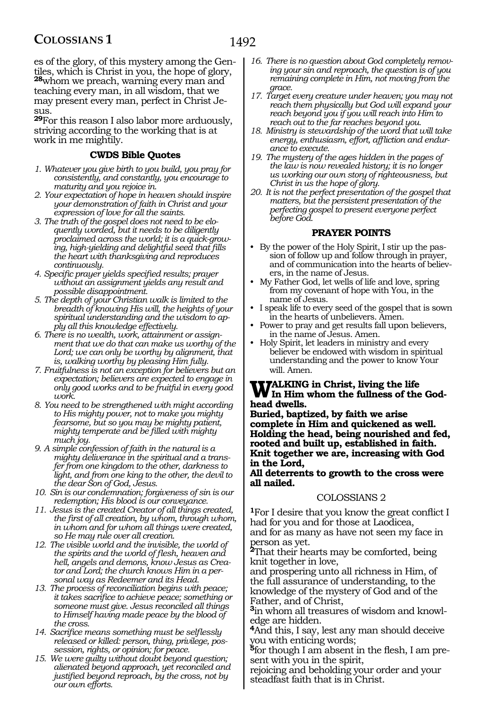es of the glory, of this mystery among the Gentiles, which is Christ in you, the hope of glory, **<sup>28</sup>**whom we preach, warning every man and teaching every man, in all wisdom, that we may present every man, perfect in Christ Jesus.

**<sup>29</sup>**For this reason I also labor more arduously, striving according to the working that is at work in me mightily.

## **CWDS Bible Quotes**

- *1. Whatever you give birth to you build, you pray for consistently, and constantly, you encourage to maturity and you rejoice in.*
- *2. Your expectation of hope in heaven should inspire your demonstration of faith in Christ and your expression of love for all the saints.*
- *3. The truth of the gospel does not need to be eloquently worded, but it needs to be diligently proclaimed across the world; it is a quick-growing, high-yielding and delightful seed that fills the heart with thanksgiving and reproduces continuously.*
- *4. Specific prayer yields specified results; prayer without an assignment yields any result and possible disappointment.*
- *5. The depth of your Christian walk is limited to the breadth of knowing His will, the heights of your spiritual understanding and the wisdom to apply all this knowledge effectively.*
- *6. There is no wealth, work, attainment or assignment that we do that can make us worthy of the Lord; we can only be worthy by alignment, that is, walking worthy by pleasing Him fully.*
- *7. Fruitfulness is not an exception for believers but an expectation; believers are expected to engage in only good works and to be fruitful in every good work.*
- *8. You need to be strengthened with might according to His mighty power, not to make you mighty fearsome, but so you may be mighty patient, mighty temperate and be filled with mighty much joy.*
- *9. A simple confession of faith in the natural is a mighty deliverance in the spiritual and a transfer from one kingdom to the other, darkness to light, and from one king to the other, the devil to the dear Son of God, Jesus.*
- *10. Sin is our condemnation; forgiveness of sin is our redemption; His blood is our conveyance.*
- *11. Jesus is the created Creator of all things created, the first of all creation, by whom, through whom, in whom and for whom all things were created, so He may rule over all creation.*
- *12. The visible world and the invisible, the world of the spirits and the world of flesh, heaven and hell, angels and demons, know Jesus as Creator and Lord; the church knows Him in a personal way as Redeemer and its Head.*
- *13. The process of reconciliation begins with peace; it takes sacrifice to achieve peace; something or someone must give. Jesus reconciled all things to Himself having made peace by the blood of the cross.*
- *14. Sacrifice means something must be selflessly released or killed: person, thing, privilege, possession, rights, or opinion; for peace.*
- *15. We were guilty without doubt beyond question; alienated beyond approach, yet reconciled and justified beyond reproach, by the cross, not by our own efforts.*
- *16. There is no question about God completely removing your sin and reproach, the question is of you remaining complete in Him, not moving from the grace.*
- *17. Target every creature under heaven; you may not reach them physically but God will expand your reach beyond you if you will reach into Him to reach out to the far reaches beyond you.*
- *18. Ministry is stewardship of the word that will take energy, enthusiasm, effort, affliction and endur- ance to execute.*
- *19. The mystery of the ages hidden in the pages of the law is now revealed history; it is no longer us working our own story of righteousness, but Christ in us the hope of glory.*
- *20. It is not the perfect presentation of the gospel that matters, but the persistent presentation of the perfecting gospel to present everyone perfect before God.*

# **PRAYER POINTS**

- By the power of the Holy Spirit, I stir up the passion of follow up and follow through in prayer, and of communication into the hearts of believers, in the name of Jesus.
- My Father God, let wells of life and love, spring from my covenant of hope with You, in the name of Jesus.
- I speak life to every seed of the gospel that is sown in the hearts of unbelievers. Amen.
- Power to pray and get results fall upon believers, in the name of Jesus. Amen.
- Holy Spirit, let leaders in ministry and every believer be endowed with wisdom in spiritual understanding and the power to know Your will. Amen.

# **WALKING** in Christ, living the life<br> **In Him whom the fullness of the Godhead dwells.**

**Buried, baptized, by faith we arise complete in Him and quickened as well. Holding the head, being nourished and fed, rooted and built up, established in faith. Knit together we are, increasing with God in the Lord,**

**All deterrents to growth to the cross were all nailed.**

#### COLOSSIANS 2

**<sup>1</sup>**For I desire that you know the great conflict I had for you and for those at Laodicea, and for as many as have not seen my face in person as yet.

**<sup>2</sup>**That their hearts may be comforted, being knit together in love,

and prospering unto all richness in Him, of the full assurance of understanding, to the knowledge of the mystery of God and of the Father, and of Christ,

**3**in whom all treasures of wisdom and knowledge are hidden.

**<sup>4</sup>**And this, I say, lest any man should deceive you with enticing words;

**5**for though I am absent in the flesh, I am present with you in the spirit,

rejoicing and beholding your order and your steadfast faith that is in Christ.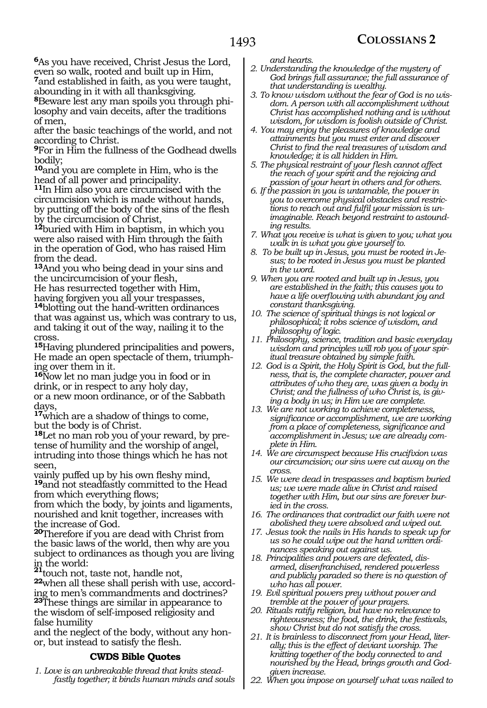**<sup>6</sup>**As you have received, Christ Jesus the Lord, even so walk, rooted and built up in Him,

**<sup>7</sup>**and established in faith, as you were taught, abounding in it with all thanksgiving.

**8**Beware lest any man spoils you through philosophy and vain deceits, after the traditions of men,

after the basic teachings of the world, and not according to Christ.

**<sup>9</sup>**For in Him the fullness of the Godhead dwells bodily;

**<sup>10</sup>**and you are complete in Him, who is the head of all power and principality.

**<sup>11</sup>**In Him also you are circumcised with the circumcision which is made without hands, by putting off the body of the sins of the flesh by the circumcision of Christ,

**<sup>12</sup>**buried with Him in baptism, in which you were also raised with Him through the faith in the operation of God, who has raised Him from the dead.

**<sup>13</sup>**And you who being dead in your sins and the uncircumcision of your flesh,

He has resurrected together with Him, having forgiven you all your trespasses,

**<sup>14</sup>**blotting out the hand-written ordinances that was against us, which was contrary to us, and taking it out of the way, nailing it to the cross.

**<sup>15</sup>**Having plundered principalities and powers, He made an open spectacle of them, triumphing over them in it.

**<sup>16</sup>**Now let no man judge you in food or in drink, or in respect to any holy day, or a new moon ordinance, or of the Sabbath days,

**<sup>17</sup>**which are a shadow of things to come, but the body is of Christ.

**18**Let no man rob you of your reward, by pretense of humility and the worship of angel, intruding into those things which he has not seen,

vainly puffed up by his own fleshy mind, **<sup>19</sup>**and not steadfastly committed to the Head from which everything flows;

from which the body, by joints and ligaments, nourished and knit together, increases with the increase of God.

**<sup>20</sup>**Therefore if you are dead with Christ from the basic laws of the world, then why are you subject to ordinances as though you are living in the world: **<sup>21</sup>**touch not, taste not, handle not,

**<sup>22</sup>**when all these shall perish with use, accord- ing to men's commandments and doctrines? **<sup>23</sup>**These things are similar in appearance to the wisdom of self-imposed religiosity and false humility

and the neglect of the body, without any hon- or, but instead to satisfy the flesh.

## **CWDS Bible Quotes**

*1. Love is an unbreakable thread that knits steadfastly together; it binds human minds and souls*  *and hearts.*

- *2. Understanding the knowledge of the mystery of God brings full assurance; the full assurance of that understanding is wealthy.*
- *3. To know wisdom without the fear of God is no wisdom. A person with all accomplishment without Christ has accomplished nothing and is without wisdom, for wisdom is foolish outside of Christ.*
- *4. You may enjoy the pleasures of knowledge and attainments but you must enter and discover Christ to find the real treasures of wisdom and knowledge; it is all hidden in Him.*
- *5. The physical restraint of your flesh cannot affect the reach of your spirit and the rejoicing and passion of your heart in others and for others.*
- *6. If the passion in you is untamable, the power in you to overcome physical obstacles and restrictions to reach out and fulfil your mission is unimaginable. Reach beyond restraint to astounding results.*
- *7. What you receive is what is given to you; what you walk in is what you give yourself to.*
- *8. To be built up in Jesus, you must be rooted in Jesus; to be rooted in Jesus you must be planted in the word.*
- *9. When you are rooted and built up in Jesus, you are established in the faith; this causes you to have a life overflowing with abundant joy and constant thanksgiving.*
- *10. The science of spiritual things is not logical or philosophical; it robs science of wisdom, and philosophy of logic.*
- *11. Philosophy, science, tradition and basic everyday wisdom and principles will rob you of your spiritual treasure obtained by simple faith.*
- *12. God is a Spirit, the Holy Spirit is God, but the fullness, that is, the complete character, power and attributes of who they are, was given a body in Christ; and the fullness of who Christ is, is giving a body in us; in Him we are complete.*
- *13. We are not working to achieve completeness, significance or accomplishment, we are working from a place of completeness, significance and accomplishment in Jesus; we are already complete in Him.*
- *14. We are circumspect because His crucifixion was our circumcision; our sins were cut away on the cross.*
- *15. We were dead in trespasses and baptism buried us; we were made alive in Christ and raised together with Him, but our sins are forever buried in the cross.*
- *16. The ordinances that contradict our faith were not abolished they were absolved and wiped out.*
- *17. Jesus took the nails in His hands to speak up for us so he could wipe out the hand written ordinances speaking out against us.*
- *18. Principalities and powers are defeated, disarmed, disenfranchised, rendered powerless and publicly paraded so there is no question of who has all power.*
- *19. Evil spiritual powers prey without power and tremble at the power of your prayers.*
- *20. Rituals ratify religion, but have no relevance to righteousness; the food, the drink, the festivals, show Christ but do not satisfy the cross.*
- *21. It is brainless to disconnect from your Head, literally; this is the effect of deviant worship. The knitting together of the body connected to and nourished by the Head, brings growth and Godgiven increase.*
- *22. When you impose on yourself what was nailed to*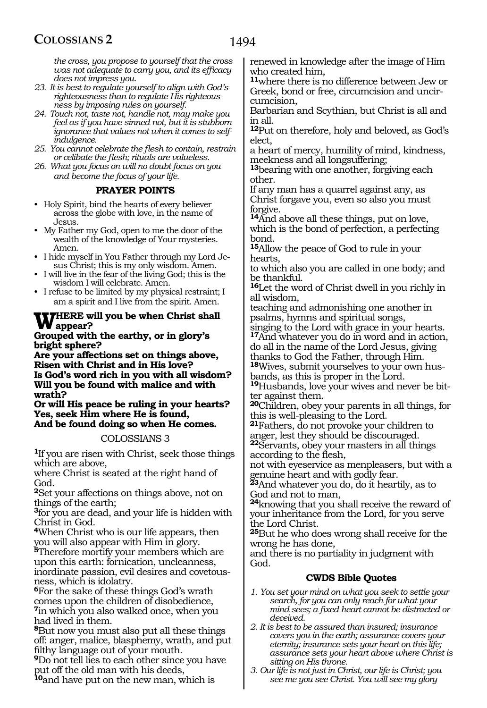*the cross, you propose to yourself that the cross was not adequate to carry you, and its efficacy does not impress you.*

- *23. It is best to regulate yourself to align with God's righteousness than to regulate His righteousness by imposing rules on yourself.*
- *24. Touch not, taste not, handle not, may make you feel as if you have sinned not, but it is stubborn ignorance that values not when it comes to selfindulgence.*
- *25. You cannot celebrate the flesh to contain, restrain or celibate the flesh; rituals are valueless.*
- *26. What you focus on will no doubt focus on you and become the focus of your life.*

# **PRAYER POINTS**

- Holy Spirit, bind the hearts of every believer across the globe with love, in the name of Jesus.
- My Father my God, open to me the door of the wealth of the knowledge of Your mysteries. Amen.
- I hide myself in You Father through my Lord Jesus Christ; this is my only wisdom. Amen.
- I will live in the fear of the living God; this is the wisdom I will celebrate. Amen.
- I refuse to be limited by my physical restraint; I am a spirit and I live from the spirit. Amen.

# **Where will you be when Christ shall appear?**

**Grouped with the earthy, or in glory's bright sphere?**

**Are your affections set on things above, Risen with Christ and in His love? Is God's word rich in you with all wisdom? Will you be found with malice and with wrath?**

**Or will His peace be ruling in your hearts? Yes, seek Him where He is found, And be found doing so when He comes.**

COLOSSIANS 3

**<sup>1</sup>**If you are risen with Christ, seek those things which are above,

where Christ is seated at the right hand of God.

**<sup>2</sup>**Set your affections on things above, not on things of the earth;

**<sup>3</sup>**for you are dead, and your life is hidden with Christ in God.

**<sup>4</sup>**When Christ who is our life appears, then you will also appear with Him in glory.

**<sup>5</sup>**Therefore mortify your members which are upon this earth: fornication, uncleanness, inordinate passion, evil desires and covetousness, which is idolatry.

**<sup>6</sup>**For the sake of these things God's wrath comes upon the children of disobedience, **<sup>7</sup>**in which you also walked once, when you had lived in them.

**<sup>8</sup>**But now you must also put all these things off: anger, malice, blasphemy, wrath, and put filthy language out of your mouth.

**<sup>9</sup>**Do not tell lies to each other since you have put off the old man with his deeds,

**<sup>10</sup>**and have put on the new man, which is

renewed in knowledge after the image of Him who created him,

**<sup>11</sup>**where there is no difference between Jew or Greek, bond or free, circumcision and uncircumcision,

Barbarian and Scythian, but Christ is all and in all.

**<sup>12</sup>**Put on therefore, holy and beloved, as God's elect,

a heart of mercy, humility of mind, kindness, meekness and all longsuffering;

**<sup>13</sup>**bearing with one another, forgiving each other.

If any man has a quarrel against any, as Christ forgave you, even so also you must forgive.

**<sup>14</sup>**And above all these things, put on love, which is the bond of perfection, a perfecting bond.

**<sup>15</sup>**Allow the peace of God to rule in your hearts,

to which also you are called in one body; and be thankful.

**<sup>16</sup>**Let the word of Christ dwell in you richly in all wisdom,

teaching and admonishing one another in psalms, hymns and spiritual songs,

singing to the Lord with grace in your hearts. **<sup>17</sup>**And whatever you do in word and in action, do all in the name of the Lord Jesus, giving thanks to God the Father, through Him.

**18**Wives, submit yourselves to your own husbands, as this is proper in the Lord.

**19**Husbands, love your wives and never be bit-<br>ter against them.

**<sup>20</sup>**Children, obey your parents in all things, for this is well-pleasing to the Lord.

**<sup>21</sup>**Fathers, do not provoke your children to anger, lest they should be discouraged.

**<sup>22</sup>**Servants, obey your masters in all things according to the flesh,

not with eyeservice as menpleasers, but with a genuine heart and with godly fear.

**<sup>23</sup>**And whatever you do, do it heartily, as to God and not to man,

**<sup>24</sup>**knowing that you shall receive the reward of your inheritance from the Lord, for you serve the Lord Christ.

**<sup>25</sup>**But he who does wrong shall receive for the wrong he has done,

and there is no partiality in judgment with God.

## **CWDS Bible Quotes**

- *1. You set your mind on what you seek to settle your search, for you can only reach for what your mind sees; a fixed heart cannot be distracted or deceived.*
- *2. It is best to be assured than insured; insurance covers you in the earth; assurance covers your eternity; insurance sets your heart on this life; assurance sets your heart above where Christ is sitting on His throne.*
- *3. Our life is not just in Christ, our life is Christ; you see me you see Christ. You will see my glory*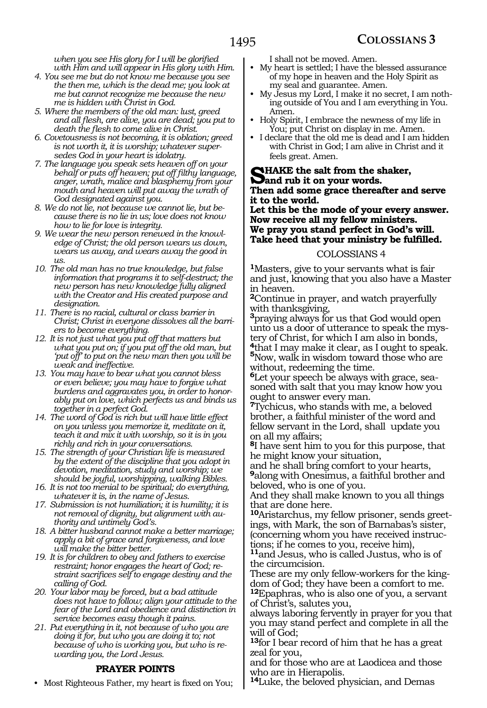*when you see His glory for I will be glorified with Him and will appear in His glory with Him.*

- *4. You see me but do not know me because you see the then me, which is the dead me; you look at me but cannot recognize me because the new me is hidden with Christ in God.*
- *5. Where the members of the old man: lust, greed and all flesh, are alive, you are dead; you put to death the flesh to come alive in Christ.*
- *6. Covetousness is not becoming, it is oblation; greed is not worth it, it is worship; whatever supersedes God in your heart is idolatry.*
- *7. The language you speak sets heaven off on your behalf or puts off heaven; put off filthy language, anger, wrath, malice and blasphemy from your mouth and heaven will put away the wrath of God designated against you.*
- *8. We do not lie, not because we cannot lie, but because there is no lie in us; love does not know how to lie for love is integrity.*
- *9. We wear the new person renewed in the knowledge of Christ; the old person wears us down, wears us away, and wears away the good in us.*
- *10. The old man has no true knowledge, but false information that programs it to self-destruct; the new person has new knowledge fully aligned with the Creator and His created purpose and designation.*
- *11. There is no racial, cultural or class barrier in Christ; Christ in everyone dissolves all the barriers to become everything.*
- *12. It is not just what you put off that matters but what you put on; if you put off the old man, but 'put off' to put on the new man then you will be weak and ineffective.*
- *13. You may have to bear what you cannot bless or even believe; you may have to forgive what burdens and aggravates you, in order to honorably put on love, which perfects us and binds us together in a perfect God.*
- *14. The word of God is rich but will have little effect on you unless you memorize it, meditate on it, teach it and mix it with worship, so it is in you richly and rich in your conversations.*
- *15. The strength of your Christian life is measured by the extent of the discipline that you adopt in devotion, meditation, study and worship; we should be joyful, worshipping, walking Bibles.*
- *16. It is not too menial to be spiritual; do everything, whatever it is, in the name of Jesus.*
- *17. Submission is not humiliation; it is humility; it is not removal of dignity, but alignment with authority and untimely God's.*
- *18. A bitter husband cannot make a better marriage; apply a bit of grace and forgiveness, and love will make the bitter better.*
- *19. It is for children to obey and fathers to exercise restraint; honor engages the heart of God; restraint sacrifices self to engage destiny and the calling of God.*
- *20. Your labor may be forced, but a bad attitude does not have to follow; align your attitude to the fear of the Lord and obedience and distinction in service becomes easy though it pains.*
- *21. Put everything in it, not because of who you are doing it for, but who you are doing it to; not because of who is working you, but who is rewarding you, the Lord Jesus.*

#### **PRAYER POINTS**

• Most Righteous Father, my heart is fixed on You;

I shall not be moved. Amen.

- My heart is settled; I have the blessed assurance of my hope in heaven and the Holy Spirit as my seal and guarantee. Amen.
- My Jesus my Lord, I make it no secret, I am nothing outside of You and I am everything in You. Amen.
- Holy Spirit, I embrace the newness of my life in You; put Christ on display in me. Amen.
- I declare that the old me is dead and I am hidden with Christ in God; I am alive in Christ and it feels great. Amen.

# **SHAKE** the salt from the shaker,<br> **S**and rub it on your words. **Then add some grace thereafter and serve it to the world.**

#### **Let this be the mode of your every answer. Now receive all my fellow ministers. We pray you stand perfect in God's will. Take heed that your ministry be fulfilled.**

#### COLOSSIANS 4

**<sup>1</sup>**Masters, give to your servants what is fair and just, knowing that you also have a Master in heaven.

**<sup>2</sup>**Continue in prayer, and watch prayerfully with thanksgiving,

**<sup>3</sup>**praying always for us that God would open unto us a door of utterance to speak the mystery of Christ, for which I am also in bonds, **<sup>4</sup>**that I may make it clear, as I ought to speak. **<sup>5</sup>**Now, walk in wisdom toward those who are without, redeeming the time.

**6**Let your speech be always with grace, seasoned with salt that you may know how you ought to answer every man.

**<sup>7</sup>**Tychicus, who stands with me, a beloved brother, a faithful minister of the word and fellow servant in the Lord, shall update you on all my affairs;

**<sup>8</sup>**I have sent him to you for this purpose, that he might know your situation,

and he shall bring comfort to your hearts, **<sup>9</sup>**along with Onesimus, a faithful brother and beloved, who is one of you.

And they shall make known to you all things that are done here.

**10**Aristarchus, my fellow prisoner, sends greetings, with Mark, the son of Barnabas's sister, (concerning whom you have received instructions; if he comes to you, receive him),

**<sup>11</sup>**and Jesus, who is called Justus, who is of the circumcision.

These are my only fellow-workers for the kingdom of God; they have been a comfort to me. **<sup>12</sup>**Epaphras, who is also one of you, a servant of Christ's, salutes you,

always laboring fervently in prayer for you that you may stand perfect and complete in all the will of God;

**<sup>13</sup>**for I bear record of him that he has a great zeal for you,

and for those who are at Laodicea and those who are in Hierapolis.

**<sup>14</sup>**Luke, the beloved physician, and Demas